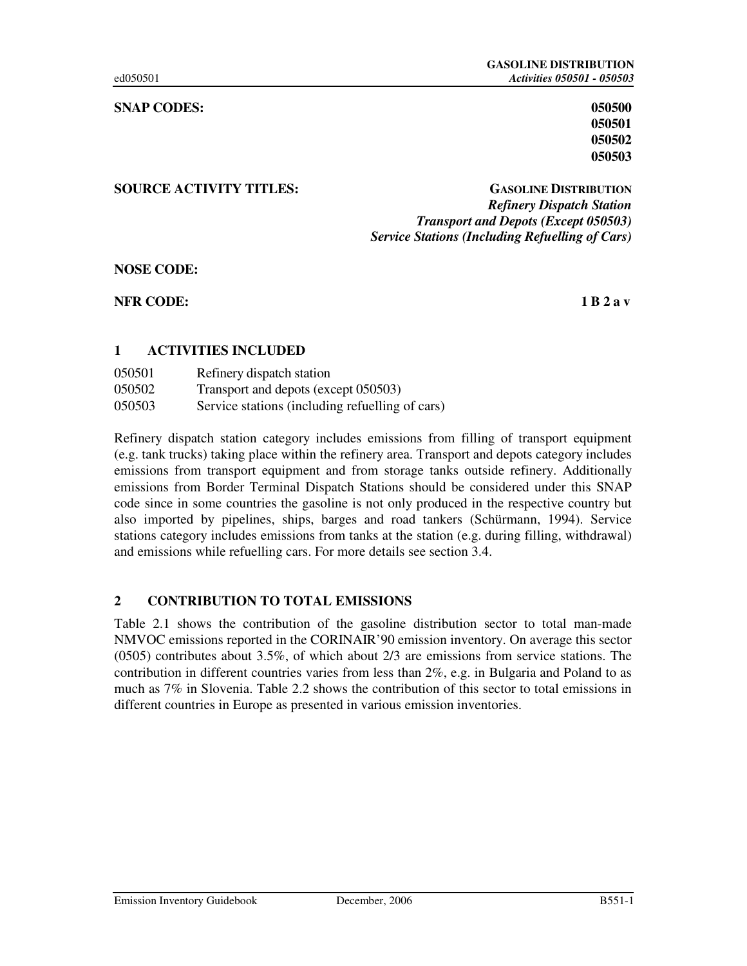#### **SNAP CODES:** 050500 **050500**

### **SOURCE ACTIVITY TITLES: GASOLINE DISTRIBUTION**

# *Refinery Dispatch Station Transport and Depots (Except 050503) Service Stations (Including Refuelling of Cars)*

**NOSE CODE:** 

**NFR CODE:** 1 B 2 a v

### **1 ACTIVITIES INCLUDED**

| 050501 | Refinery dispatch station                       |
|--------|-------------------------------------------------|
| 050502 | Transport and depots (except 050503)            |
| 050503 | Service stations (including refuelling of cars) |

Refinery dispatch station category includes emissions from filling of transport equipment (e.g. tank trucks) taking place within the refinery area. Transport and depots category includes emissions from transport equipment and from storage tanks outside refinery. Additionally emissions from Border Terminal Dispatch Stations should be considered under this SNAP code since in some countries the gasoline is not only produced in the respective country but also imported by pipelines, ships, barges and road tankers (Schürmann, 1994). Service stations category includes emissions from tanks at the station (e.g. during filling, withdrawal) and emissions while refuelling cars. For more details see section 3.4.

### **2 CONTRIBUTION TO TOTAL EMISSIONS**

Table 2.1 shows the contribution of the gasoline distribution sector to total man-made NMVOC emissions reported in the CORINAIR'90 emission inventory. On average this sector (0505) contributes about 3.5%, of which about 2/3 are emissions from service stations. The contribution in different countries varies from less than 2%, e.g. in Bulgaria and Poland to as much as 7% in Slovenia. Table 2.2 shows the contribution of this sector to total emissions in different countries in Europe as presented in various emission inventories.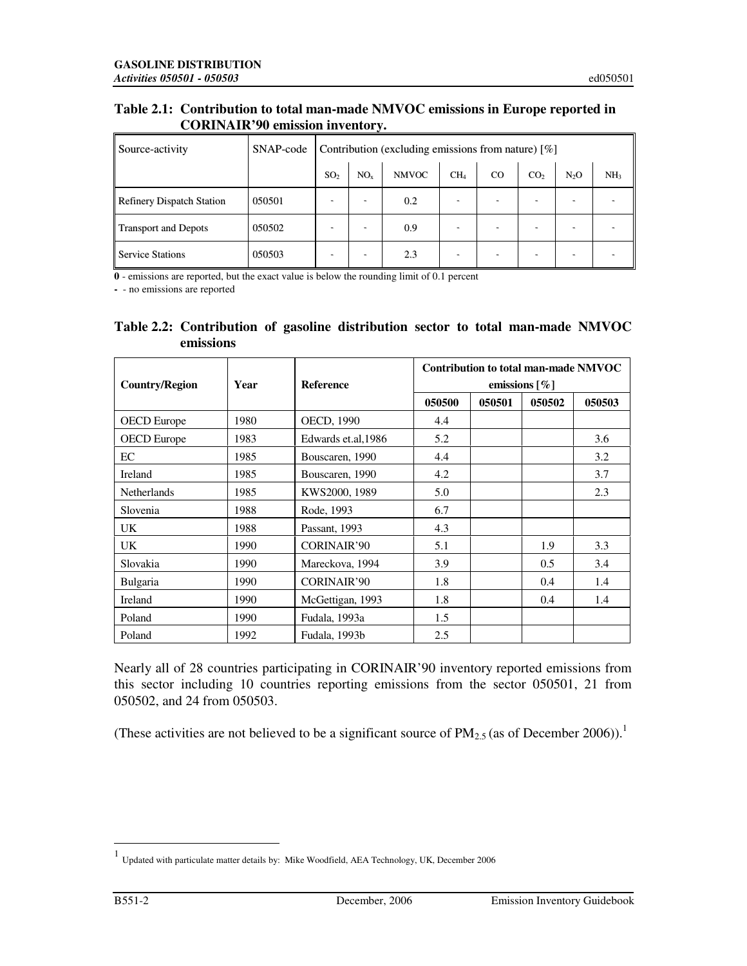### **Table 2.1: Contribution to total man-made NMVOC emissions in Europe reported in CORINAIR'90 emission inventory.**

| Source-activity                  | SNAP-code | Contribution (excluding emissions from nature) $[\%]$ |                 |              |                 |             |                 |                  |                 |
|----------------------------------|-----------|-------------------------------------------------------|-----------------|--------------|-----------------|-------------|-----------------|------------------|-----------------|
|                                  |           | SO <sub>2</sub>                                       | NO <sub>x</sub> | <b>NMVOC</b> | CH <sub>4</sub> | $_{\rm CO}$ | CO <sub>2</sub> | N <sub>2</sub> O | NH <sub>3</sub> |
| <b>Refinery Dispatch Station</b> | 050501    |                                                       |                 | 0.2          |                 |             |                 |                  |                 |
| Transport and Depots             | 050502    | $\overline{\phantom{0}}$                              |                 | 0.9          |                 |             |                 |                  |                 |
| <b>Service Stations</b>          | 050503    | ۰                                                     | -               | 2.3          | ۰               |             |                 |                  |                 |

**0** - emissions are reported, but the exact value is below the rounding limit of 0.1 percent

**-** - no emissions are reported

| Table 2.2: Contribution of gasoline distribution sector to total man-made NMVOC |  |  |  |  |
|---------------------------------------------------------------------------------|--|--|--|--|
| emissions                                                                       |  |  |  |  |

| <b>Country/Region</b> | Year | <b>Reference</b>    |        |        | Contribution to total man-made NMVOC<br>emissions $[\%]$ |        |
|-----------------------|------|---------------------|--------|--------|----------------------------------------------------------|--------|
|                       |      |                     | 050500 | 050501 | 050502                                                   | 050503 |
| <b>OECD</b> Europe    | 1980 | <b>OECD, 1990</b>   | 4.4    |        |                                                          |        |
| <b>OECD</b> Europe    | 1983 | Edwards et.al, 1986 | 5.2    |        |                                                          | 3.6    |
| EC                    | 1985 | Bouscaren, 1990     | 4.4    |        |                                                          | 3.2    |
| Ireland               | 1985 | Bouscaren, 1990     | 4.2    |        |                                                          | 3.7    |
| <b>Netherlands</b>    | 1985 | KWS2000, 1989       | 5.0    |        |                                                          | 2.3    |
| Slovenia              | 1988 | Rode, 1993          | 6.7    |        |                                                          |        |
| UK.                   | 1988 | Passant, 1993       | 4.3    |        |                                                          |        |
| UK.                   | 1990 | <b>CORINAIR'90</b>  | 5.1    |        | 1.9                                                      | 3.3    |
| Slovakia              | 1990 | Mareckova, 1994     | 3.9    |        | 0.5                                                      | 3.4    |
| Bulgaria              | 1990 | <b>CORINAIR'90</b>  | 1.8    |        | 0.4                                                      | 1.4    |
| Ireland               | 1990 | McGettigan, 1993    | 1.8    |        | 0.4                                                      | 1.4    |
| Poland                | 1990 | Fudala, 1993a       | 1.5    |        |                                                          |        |
| Poland                | 1992 | Fudala, 1993b       | 2.5    |        |                                                          |        |

Nearly all of 28 countries participating in CORINAIR'90 inventory reported emissions from this sector including 10 countries reporting emissions from the sector 050501, 21 from 050502, and 24 from 050503.

(These activities are not believed to be a significant source of  $PM_{2.5}$  (as of December 2006)).<sup>1</sup>

 1 Updated with particulate matter details by: Mike Woodfield, AEA Technology, UK, December 2006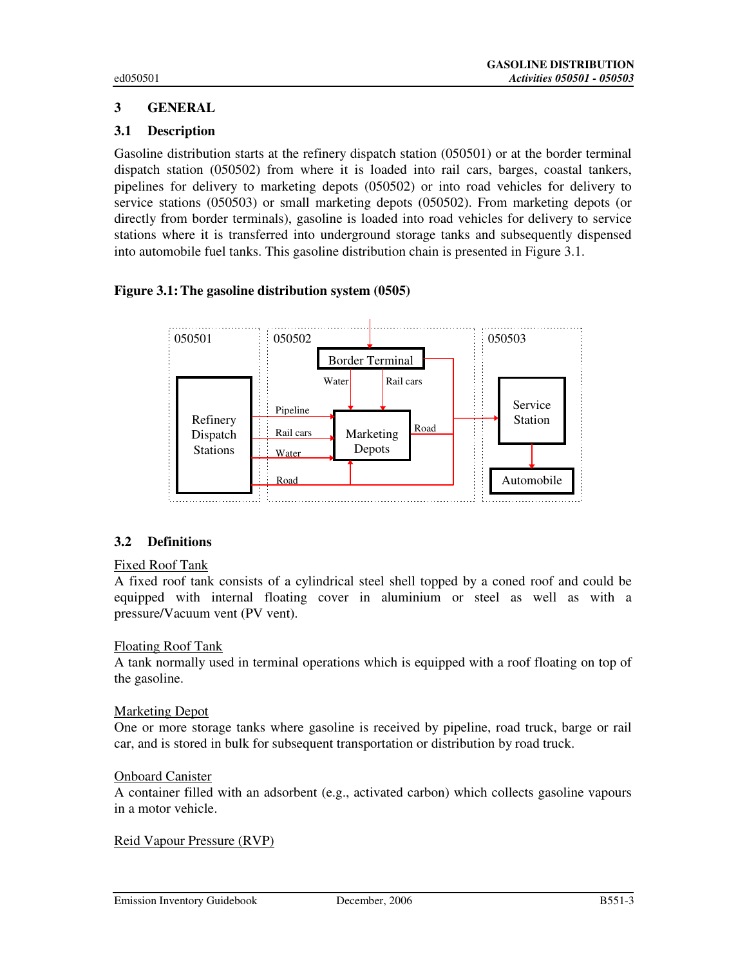## **3 GENERAL**

### **3.1 Description**

Gasoline distribution starts at the refinery dispatch station (050501) or at the border terminal dispatch station (050502) from where it is loaded into rail cars, barges, coastal tankers, pipelines for delivery to marketing depots (050502) or into road vehicles for delivery to service stations (050503) or small marketing depots (050502). From marketing depots (or directly from border terminals), gasoline is loaded into road vehicles for delivery to service stations where it is transferred into underground storage tanks and subsequently dispensed into automobile fuel tanks. This gasoline distribution chain is presented in Figure 3.1.

### **Figure 3.1: The gasoline distribution system (0505)**



### **3.2 Definitions**

### Fixed Roof Tank

A fixed roof tank consists of a cylindrical steel shell topped by a coned roof and could be equipped with internal floating cover in aluminium or steel as well as with a pressure/Vacuum vent (PV vent).

### Floating Roof Tank

A tank normally used in terminal operations which is equipped with a roof floating on top of the gasoline.

### Marketing Depot

One or more storage tanks where gasoline is received by pipeline, road truck, barge or rail car, and is stored in bulk for subsequent transportation or distribution by road truck.

#### Onboard Canister

A container filled with an adsorbent (e.g., activated carbon) which collects gasoline vapours in a motor vehicle.

### Reid Vapour Pressure (RVP)

Emission Inventory Guidebook December, 2006 B551-3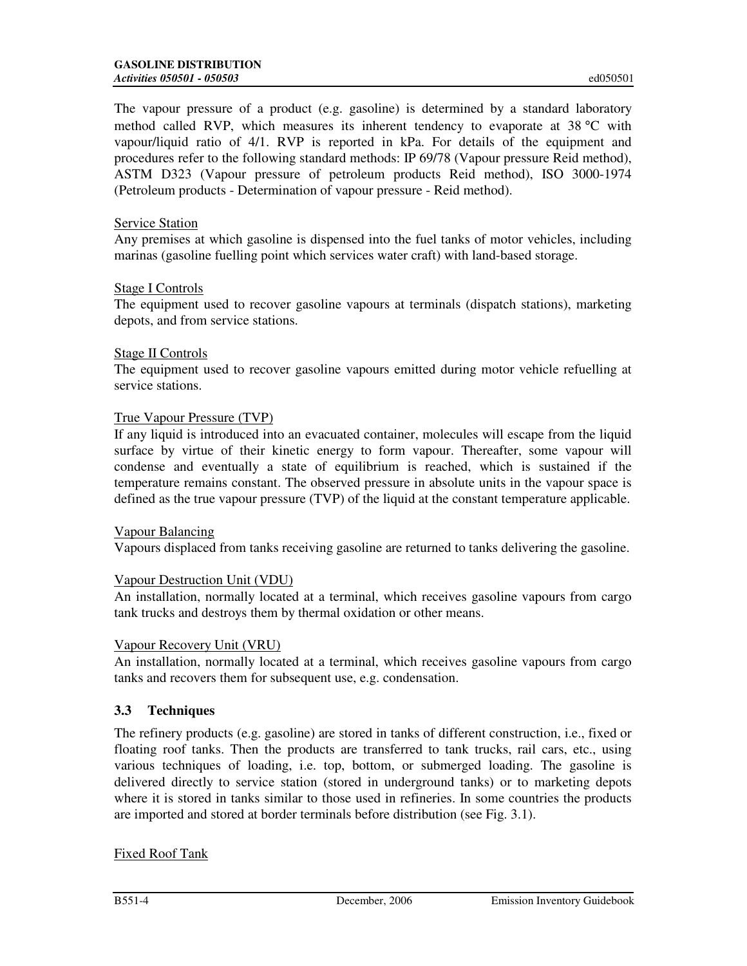The vapour pressure of a product (e.g. gasoline) is determined by a standard laboratory method called RVP, which measures its inherent tendency to evaporate at 38 °C with vapour/liquid ratio of 4/1. RVP is reported in kPa. For details of the equipment and procedures refer to the following standard methods: IP 69/78 (Vapour pressure Reid method), ASTM D323 (Vapour pressure of petroleum products Reid method), ISO 3000-1974 (Petroleum products - Determination of vapour pressure - Reid method).

### Service Station

Any premises at which gasoline is dispensed into the fuel tanks of motor vehicles, including marinas (gasoline fuelling point which services water craft) with land-based storage.

### Stage I Controls

The equipment used to recover gasoline vapours at terminals (dispatch stations), marketing depots, and from service stations.

#### Stage II Controls

The equipment used to recover gasoline vapours emitted during motor vehicle refuelling at service stations.

### True Vapour Pressure (TVP)

If any liquid is introduced into an evacuated container, molecules will escape from the liquid surface by virtue of their kinetic energy to form vapour. Thereafter, some vapour will condense and eventually a state of equilibrium is reached, which is sustained if the temperature remains constant. The observed pressure in absolute units in the vapour space is defined as the true vapour pressure (TVP) of the liquid at the constant temperature applicable.

### Vapour Balancing

Vapours displaced from tanks receiving gasoline are returned to tanks delivering the gasoline.

### Vapour Destruction Unit (VDU)

An installation, normally located at a terminal, which receives gasoline vapours from cargo tank trucks and destroys them by thermal oxidation or other means.

### Vapour Recovery Unit (VRU)

An installation, normally located at a terminal, which receives gasoline vapours from cargo tanks and recovers them for subsequent use, e.g. condensation.

### **3.3 Techniques**

The refinery products (e.g. gasoline) are stored in tanks of different construction, i.e., fixed or floating roof tanks. Then the products are transferred to tank trucks, rail cars, etc., using various techniques of loading, i.e. top, bottom, or submerged loading. The gasoline is delivered directly to service station (stored in underground tanks) or to marketing depots where it is stored in tanks similar to those used in refineries. In some countries the products are imported and stored at border terminals before distribution (see Fig. 3.1).

### Fixed Roof Tank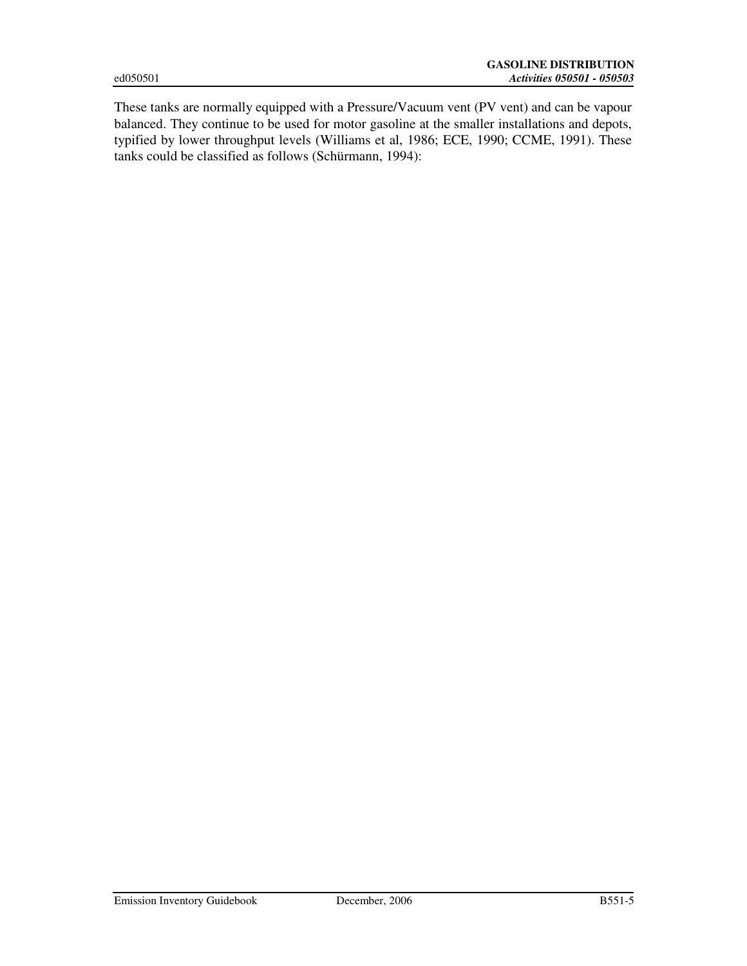These tanks are normally equipped with a Pressure/Vacuum vent (PV vent) and can be vapour balanced. They continue to be used for motor gasoline at the smaller installations and depots, typified by lower throughput levels (Williams et al, 1986; ECE, 1990; CCME, 1991). These tanks could be classified as follows (Schürmann, 1994):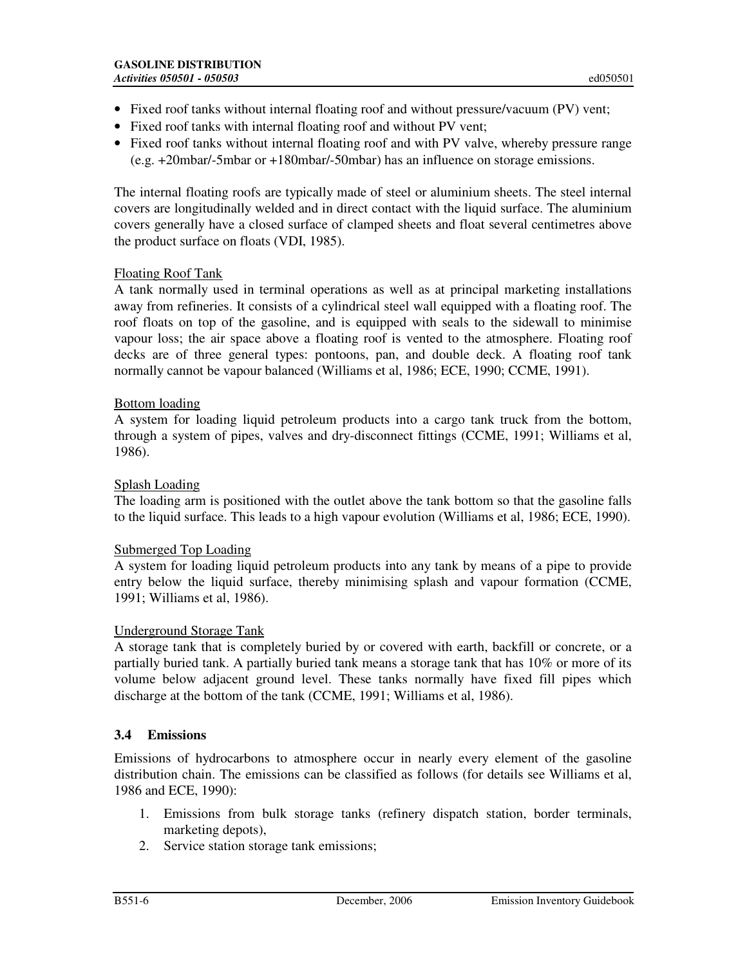- Fixed roof tanks without internal floating roof and without pressure/vacuum (PV) vent;
- Fixed roof tanks with internal floating roof and without PV vent;
- Fixed roof tanks without internal floating roof and with PV valve, whereby pressure range (e.g. +20mbar/-5mbar or +180mbar/-50mbar) has an influence on storage emissions.

The internal floating roofs are typically made of steel or aluminium sheets. The steel internal covers are longitudinally welded and in direct contact with the liquid surface. The aluminium covers generally have a closed surface of clamped sheets and float several centimetres above the product surface on floats (VDI, 1985).

### Floating Roof Tank

A tank normally used in terminal operations as well as at principal marketing installations away from refineries. It consists of a cylindrical steel wall equipped with a floating roof. The roof floats on top of the gasoline, and is equipped with seals to the sidewall to minimise vapour loss; the air space above a floating roof is vented to the atmosphere. Floating roof decks are of three general types: pontoons, pan, and double deck. A floating roof tank normally cannot be vapour balanced (Williams et al, 1986; ECE, 1990; CCME, 1991).

### Bottom loading

A system for loading liquid petroleum products into a cargo tank truck from the bottom, through a system of pipes, valves and dry-disconnect fittings (CCME, 1991; Williams et al, 1986).

### Splash Loading

The loading arm is positioned with the outlet above the tank bottom so that the gasoline falls to the liquid surface. This leads to a high vapour evolution (Williams et al, 1986; ECE, 1990).

### Submerged Top Loading

A system for loading liquid petroleum products into any tank by means of a pipe to provide entry below the liquid surface, thereby minimising splash and vapour formation (CCME, 1991; Williams et al, 1986).

### Underground Storage Tank

A storage tank that is completely buried by or covered with earth, backfill or concrete, or a partially buried tank. A partially buried tank means a storage tank that has 10% or more of its volume below adjacent ground level. These tanks normally have fixed fill pipes which discharge at the bottom of the tank (CCME, 1991; Williams et al, 1986).

### **3.4 Emissions**

Emissions of hydrocarbons to atmosphere occur in nearly every element of the gasoline distribution chain. The emissions can be classified as follows (for details see Williams et al, 1986 and ECE, 1990):

- 1. Emissions from bulk storage tanks (refinery dispatch station, border terminals, marketing depots),
- 2. Service station storage tank emissions;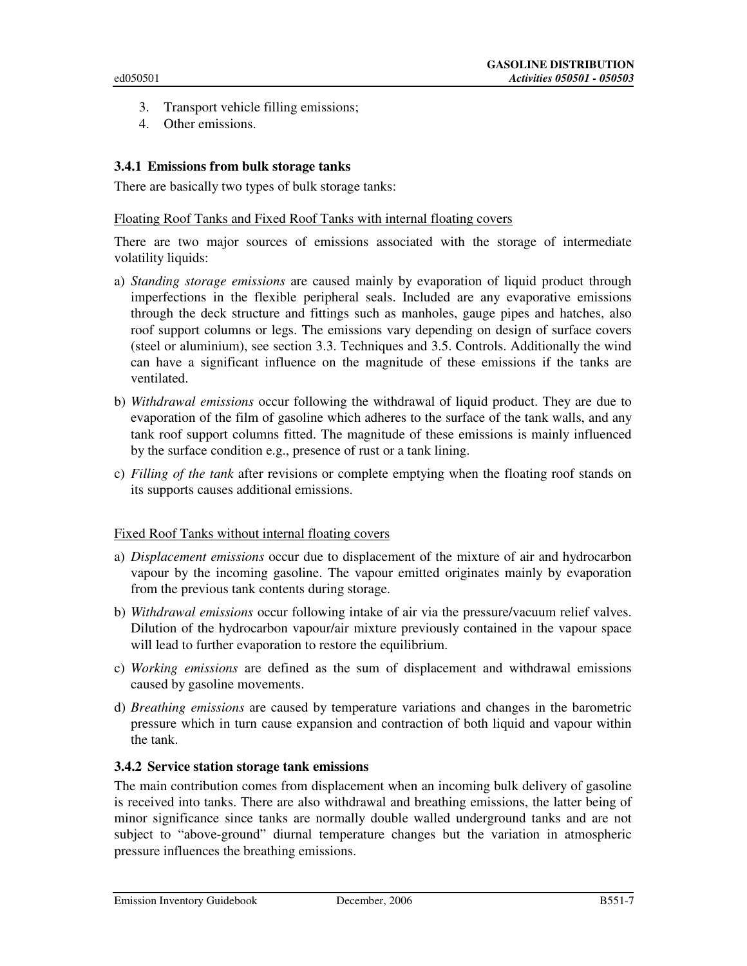- 3. Transport vehicle filling emissions;
- 4. Other emissions.

### **3.4.1 Emissions from bulk storage tanks**

There are basically two types of bulk storage tanks:

#### Floating Roof Tanks and Fixed Roof Tanks with internal floating covers

There are two major sources of emissions associated with the storage of intermediate volatility liquids:

- a) *Standing storage emissions* are caused mainly by evaporation of liquid product through imperfections in the flexible peripheral seals. Included are any evaporative emissions through the deck structure and fittings such as manholes, gauge pipes and hatches, also roof support columns or legs. The emissions vary depending on design of surface covers (steel or aluminium), see section 3.3. Techniques and 3.5. Controls. Additionally the wind can have a significant influence on the magnitude of these emissions if the tanks are ventilated.
- b) *Withdrawal emissions* occur following the withdrawal of liquid product. They are due to evaporation of the film of gasoline which adheres to the surface of the tank walls, and any tank roof support columns fitted. The magnitude of these emissions is mainly influenced by the surface condition e.g., presence of rust or a tank lining.
- c) *Filling of the tank* after revisions or complete emptying when the floating roof stands on its supports causes additional emissions.

### Fixed Roof Tanks without internal floating covers

- a) *Displacement emissions* occur due to displacement of the mixture of air and hydrocarbon vapour by the incoming gasoline. The vapour emitted originates mainly by evaporation from the previous tank contents during storage.
- b) *Withdrawal emissions* occur following intake of air via the pressure/vacuum relief valves. Dilution of the hydrocarbon vapour/air mixture previously contained in the vapour space will lead to further evaporation to restore the equilibrium.
- c) *Working emissions* are defined as the sum of displacement and withdrawal emissions caused by gasoline movements.
- d) *Breathing emissions* are caused by temperature variations and changes in the barometric pressure which in turn cause expansion and contraction of both liquid and vapour within the tank.

### **3.4.2 Service station storage tank emissions**

The main contribution comes from displacement when an incoming bulk delivery of gasoline is received into tanks. There are also withdrawal and breathing emissions, the latter being of minor significance since tanks are normally double walled underground tanks and are not subject to "above-ground" diurnal temperature changes but the variation in atmospheric pressure influences the breathing emissions.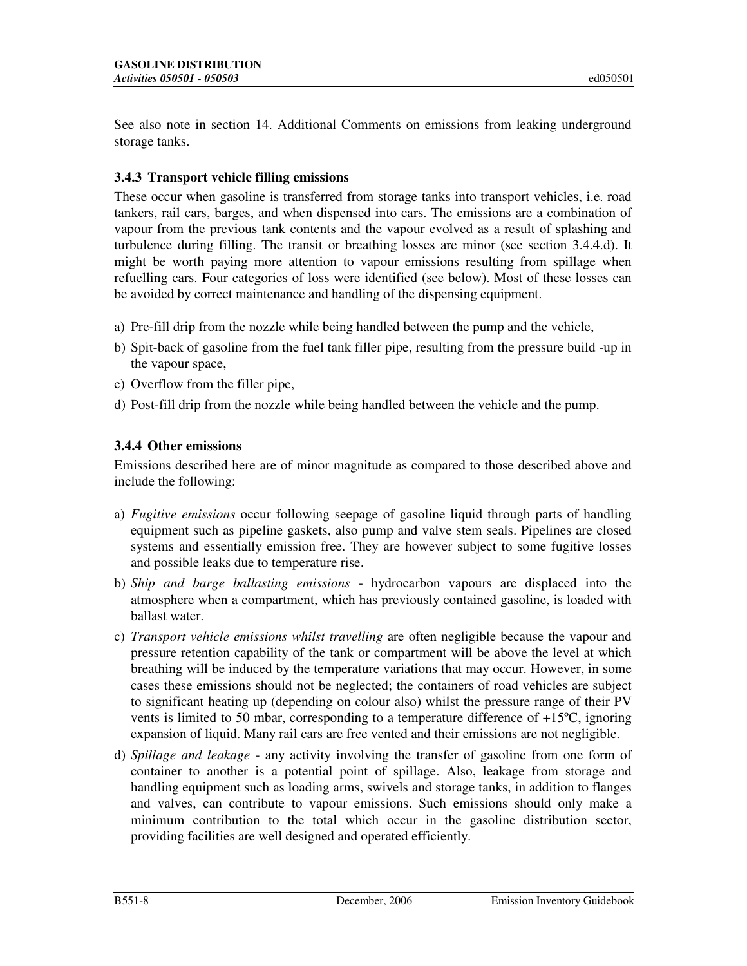See also note in section 14. Additional Comments on emissions from leaking underground storage tanks.

### **3.4.3 Transport vehicle filling emissions**

These occur when gasoline is transferred from storage tanks into transport vehicles, i.e. road tankers, rail cars, barges, and when dispensed into cars. The emissions are a combination of vapour from the previous tank contents and the vapour evolved as a result of splashing and turbulence during filling. The transit or breathing losses are minor (see section 3.4.4.d). It might be worth paying more attention to vapour emissions resulting from spillage when refuelling cars. Four categories of loss were identified (see below). Most of these losses can be avoided by correct maintenance and handling of the dispensing equipment.

- a) Pre-fill drip from the nozzle while being handled between the pump and the vehicle,
- b) Spit-back of gasoline from the fuel tank filler pipe, resulting from the pressure build -up in the vapour space,
- c) Overflow from the filler pipe,
- d) Post-fill drip from the nozzle while being handled between the vehicle and the pump.

### **3.4.4 Other emissions**

Emissions described here are of minor magnitude as compared to those described above and include the following:

- a) *Fugitive emissions* occur following seepage of gasoline liquid through parts of handling equipment such as pipeline gaskets, also pump and valve stem seals. Pipelines are closed systems and essentially emission free. They are however subject to some fugitive losses and possible leaks due to temperature rise.
- b) *Ship and barge ballasting emissions* hydrocarbon vapours are displaced into the atmosphere when a compartment, which has previously contained gasoline, is loaded with ballast water.
- c) *Transport vehicle emissions whilst travelling* are often negligible because the vapour and pressure retention capability of the tank or compartment will be above the level at which breathing will be induced by the temperature variations that may occur. However, in some cases these emissions should not be neglected; the containers of road vehicles are subject to significant heating up (depending on colour also) whilst the pressure range of their PV vents is limited to 50 mbar, corresponding to a temperature difference of  $+15^{\circ}C$ , ignoring expansion of liquid. Many rail cars are free vented and their emissions are not negligible.
- d) *Spillage and leakage* any activity involving the transfer of gasoline from one form of container to another is a potential point of spillage. Also, leakage from storage and handling equipment such as loading arms, swivels and storage tanks, in addition to flanges and valves, can contribute to vapour emissions. Such emissions should only make a minimum contribution to the total which occur in the gasoline distribution sector, providing facilities are well designed and operated efficiently.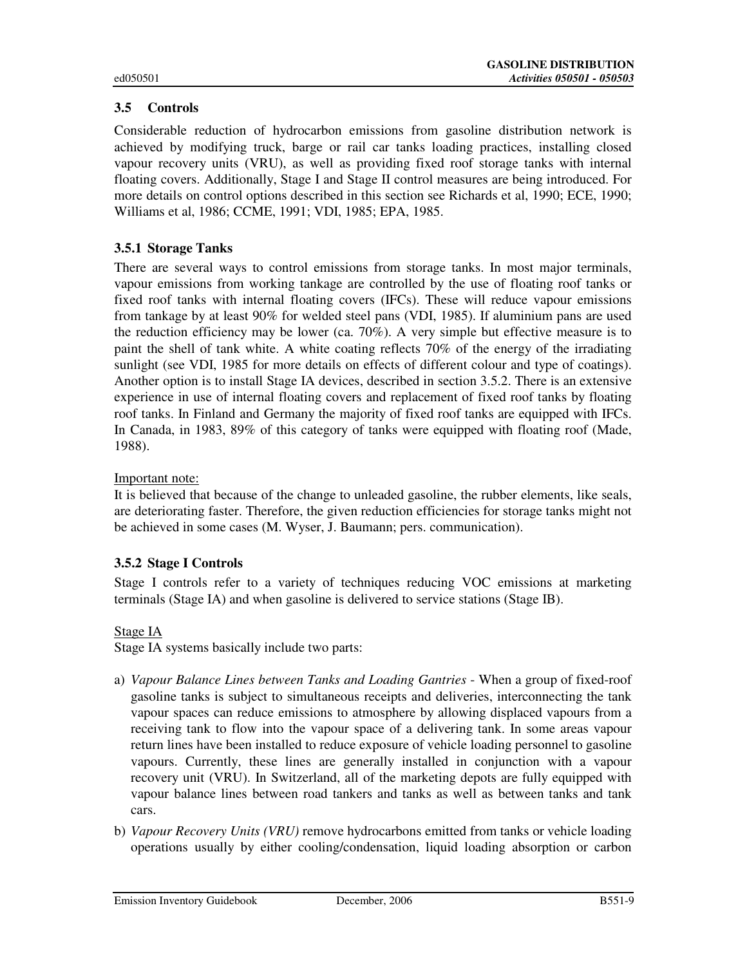# **3.5 Controls**

Considerable reduction of hydrocarbon emissions from gasoline distribution network is achieved by modifying truck, barge or rail car tanks loading practices, installing closed vapour recovery units (VRU), as well as providing fixed roof storage tanks with internal floating covers. Additionally, Stage I and Stage II control measures are being introduced. For more details on control options described in this section see Richards et al, 1990; ECE, 1990; Williams et al, 1986; CCME, 1991; VDI, 1985; EPA, 1985.

### **3.5.1 Storage Tanks**

There are several ways to control emissions from storage tanks. In most major terminals, vapour emissions from working tankage are controlled by the use of floating roof tanks or fixed roof tanks with internal floating covers (IFCs). These will reduce vapour emissions from tankage by at least 90% for welded steel pans (VDI, 1985). If aluminium pans are used the reduction efficiency may be lower (ca. 70%). A very simple but effective measure is to paint the shell of tank white. A white coating reflects 70% of the energy of the irradiating sunlight (see VDI, 1985 for more details on effects of different colour and type of coatings). Another option is to install Stage IA devices, described in section 3.5.2. There is an extensive experience in use of internal floating covers and replacement of fixed roof tanks by floating roof tanks. In Finland and Germany the majority of fixed roof tanks are equipped with IFCs. In Canada, in 1983, 89% of this category of tanks were equipped with floating roof (Made, 1988).

### Important note:

It is believed that because of the change to unleaded gasoline, the rubber elements, like seals, are deteriorating faster. Therefore, the given reduction efficiencies for storage tanks might not be achieved in some cases (M. Wyser, J. Baumann; pers. communication).

### **3.5.2 Stage I Controls**

Stage I controls refer to a variety of techniques reducing VOC emissions at marketing terminals (Stage IA) and when gasoline is delivered to service stations (Stage IB).

### Stage IA

Stage IA systems basically include two parts:

- a) *Vapour Balance Lines between Tanks and Loading Gantries* When a group of fixed-roof gasoline tanks is subject to simultaneous receipts and deliveries, interconnecting the tank vapour spaces can reduce emissions to atmosphere by allowing displaced vapours from a receiving tank to flow into the vapour space of a delivering tank. In some areas vapour return lines have been installed to reduce exposure of vehicle loading personnel to gasoline vapours. Currently, these lines are generally installed in conjunction with a vapour recovery unit (VRU). In Switzerland, all of the marketing depots are fully equipped with vapour balance lines between road tankers and tanks as well as between tanks and tank cars.
- b) *Vapour Recovery Units (VRU)* remove hydrocarbons emitted from tanks or vehicle loading operations usually by either cooling/condensation, liquid loading absorption or carbon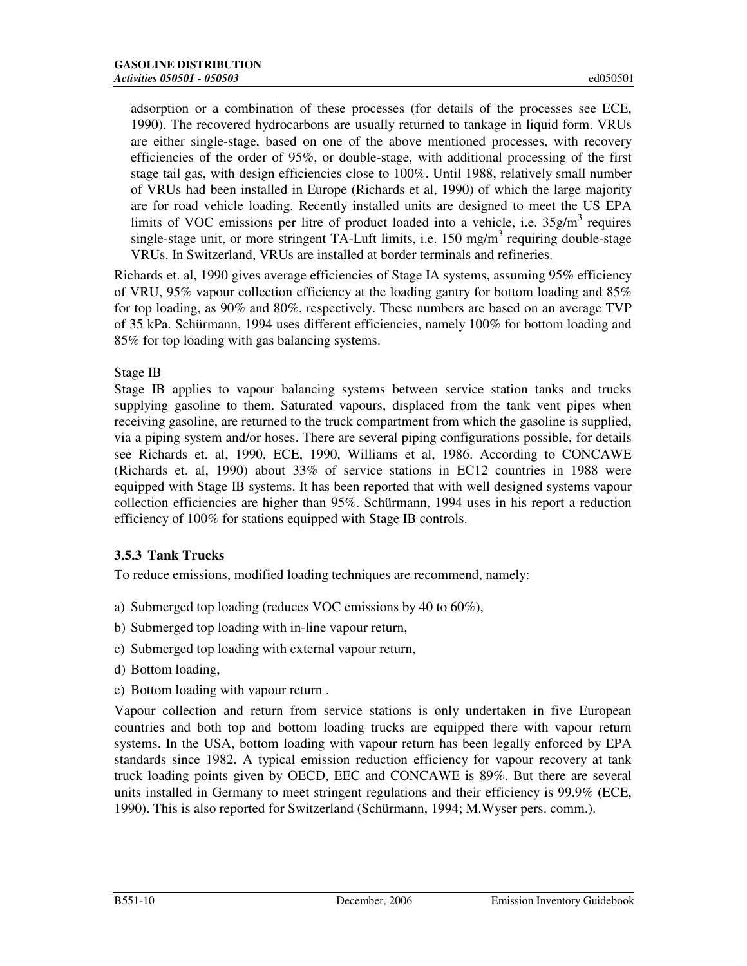adsorption or a combination of these processes (for details of the processes see ECE, 1990). The recovered hydrocarbons are usually returned to tankage in liquid form. VRUs are either single-stage, based on one of the above mentioned processes, with recovery efficiencies of the order of 95%, or double-stage, with additional processing of the first stage tail gas, with design efficiencies close to 100%. Until 1988, relatively small number of VRUs had been installed in Europe (Richards et al, 1990) of which the large majority are for road vehicle loading. Recently installed units are designed to meet the US EPA limits of VOC emissions per litre of product loaded into a vehicle, i.e.  $35g/m<sup>3</sup>$  requires single-stage unit, or more stringent TA-Luft limits, i.e. 150 mg/m<sup>3</sup> requiring double-stage VRUs. In Switzerland, VRUs are installed at border terminals and refineries.

Richards et. al, 1990 gives average efficiencies of Stage IA systems, assuming 95% efficiency of VRU, 95% vapour collection efficiency at the loading gantry for bottom loading and 85% for top loading, as 90% and 80%, respectively. These numbers are based on an average TVP of 35 kPa. Schürmann, 1994 uses different efficiencies, namely 100% for bottom loading and 85% for top loading with gas balancing systems.

### Stage IB

Stage IB applies to vapour balancing systems between service station tanks and trucks supplying gasoline to them. Saturated vapours, displaced from the tank vent pipes when receiving gasoline, are returned to the truck compartment from which the gasoline is supplied, via a piping system and/or hoses. There are several piping configurations possible, for details see Richards et. al, 1990, ECE, 1990, Williams et al, 1986. According to CONCAWE (Richards et. al, 1990) about 33% of service stations in EC12 countries in 1988 were equipped with Stage IB systems. It has been reported that with well designed systems vapour collection efficiencies are higher than 95%. Schürmann, 1994 uses in his report a reduction efficiency of 100% for stations equipped with Stage IB controls.

### **3.5.3 Tank Trucks**

To reduce emissions, modified loading techniques are recommend, namely:

- a) Submerged top loading (reduces VOC emissions by 40 to 60%),
- b) Submerged top loading with in-line vapour return,
- c) Submerged top loading with external vapour return,
- d) Bottom loading,
- e) Bottom loading with vapour return .

Vapour collection and return from service stations is only undertaken in five European countries and both top and bottom loading trucks are equipped there with vapour return systems. In the USA, bottom loading with vapour return has been legally enforced by EPA standards since 1982. A typical emission reduction efficiency for vapour recovery at tank truck loading points given by OECD, EEC and CONCAWE is 89%. But there are several units installed in Germany to meet stringent regulations and their efficiency is 99.9% (ECE, 1990). This is also reported for Switzerland (Schürmann, 1994; M.Wyser pers. comm.).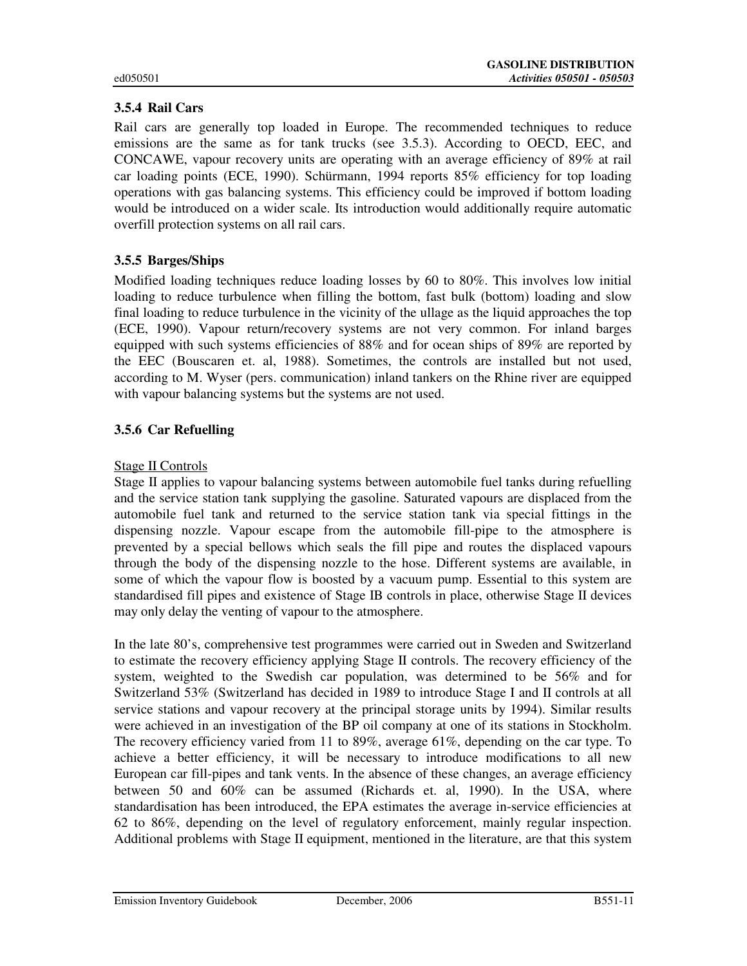### **3.5.4 Rail Cars**

Rail cars are generally top loaded in Europe. The recommended techniques to reduce emissions are the same as for tank trucks (see 3.5.3). According to OECD, EEC, and CONCAWE, vapour recovery units are operating with an average efficiency of 89% at rail car loading points (ECE, 1990). Schürmann, 1994 reports 85% efficiency for top loading operations with gas balancing systems. This efficiency could be improved if bottom loading would be introduced on a wider scale. Its introduction would additionally require automatic overfill protection systems on all rail cars.

### **3.5.5 Barges/Ships**

Modified loading techniques reduce loading losses by 60 to 80%. This involves low initial loading to reduce turbulence when filling the bottom, fast bulk (bottom) loading and slow final loading to reduce turbulence in the vicinity of the ullage as the liquid approaches the top (ECE, 1990). Vapour return/recovery systems are not very common. For inland barges equipped with such systems efficiencies of 88% and for ocean ships of 89% are reported by the EEC (Bouscaren et. al, 1988). Sometimes, the controls are installed but not used, according to M. Wyser (pers. communication) inland tankers on the Rhine river are equipped with vapour balancing systems but the systems are not used.

### **3.5.6 Car Refuelling**

### Stage II Controls

Stage II applies to vapour balancing systems between automobile fuel tanks during refuelling and the service station tank supplying the gasoline. Saturated vapours are displaced from the automobile fuel tank and returned to the service station tank via special fittings in the dispensing nozzle. Vapour escape from the automobile fill-pipe to the atmosphere is prevented by a special bellows which seals the fill pipe and routes the displaced vapours through the body of the dispensing nozzle to the hose. Different systems are available, in some of which the vapour flow is boosted by a vacuum pump. Essential to this system are standardised fill pipes and existence of Stage IB controls in place, otherwise Stage II devices may only delay the venting of vapour to the atmosphere.

In the late 80's, comprehensive test programmes were carried out in Sweden and Switzerland to estimate the recovery efficiency applying Stage II controls. The recovery efficiency of the system, weighted to the Swedish car population, was determined to be 56% and for Switzerland 53% (Switzerland has decided in 1989 to introduce Stage I and II controls at all service stations and vapour recovery at the principal storage units by 1994). Similar results were achieved in an investigation of the BP oil company at one of its stations in Stockholm. The recovery efficiency varied from 11 to 89%, average 61%, depending on the car type. To achieve a better efficiency, it will be necessary to introduce modifications to all new European car fill-pipes and tank vents. In the absence of these changes, an average efficiency between 50 and 60% can be assumed (Richards et. al, 1990). In the USA, where standardisation has been introduced, the EPA estimates the average in-service efficiencies at 62 to 86%, depending on the level of regulatory enforcement, mainly regular inspection. Additional problems with Stage II equipment, mentioned in the literature, are that this system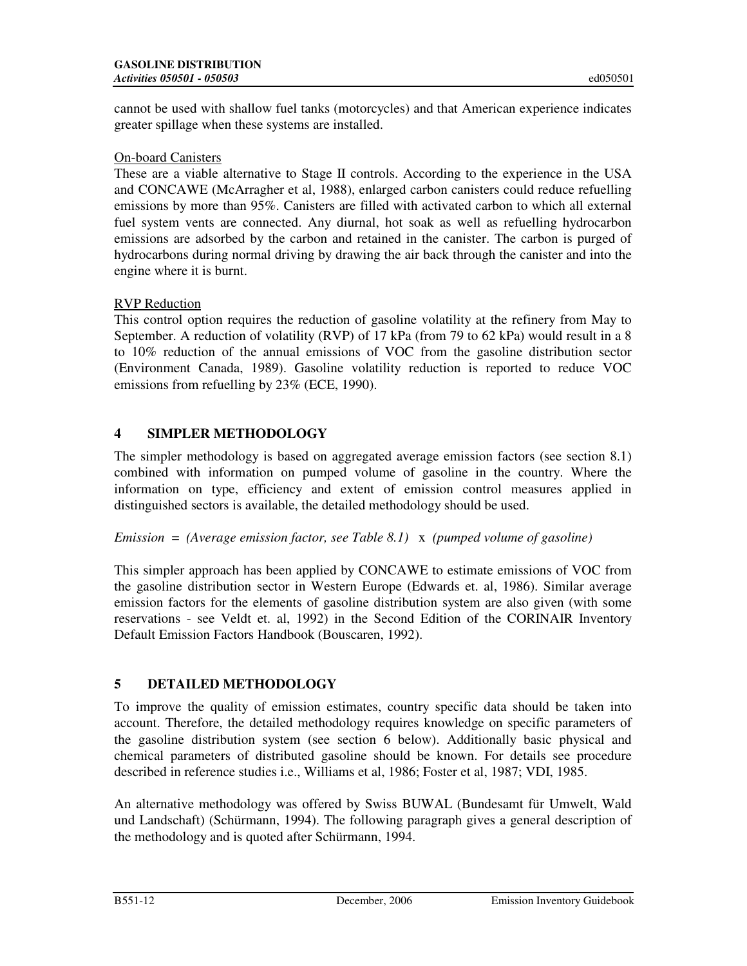cannot be used with shallow fuel tanks (motorcycles) and that American experience indicates greater spillage when these systems are installed.

### On-board Canisters

These are a viable alternative to Stage II controls. According to the experience in the USA and CONCAWE (McArragher et al, 1988), enlarged carbon canisters could reduce refuelling emissions by more than 95%. Canisters are filled with activated carbon to which all external fuel system vents are connected. Any diurnal, hot soak as well as refuelling hydrocarbon emissions are adsorbed by the carbon and retained in the canister. The carbon is purged of hydrocarbons during normal driving by drawing the air back through the canister and into the engine where it is burnt.

### RVP Reduction

This control option requires the reduction of gasoline volatility at the refinery from May to September. A reduction of volatility (RVP) of 17 kPa (from 79 to 62 kPa) would result in a 8 to 10% reduction of the annual emissions of VOC from the gasoline distribution sector (Environment Canada, 1989). Gasoline volatility reduction is reported to reduce VOC emissions from refuelling by 23% (ECE, 1990).

### **4 SIMPLER METHODOLOGY**

The simpler methodology is based on aggregated average emission factors (see section 8.1) combined with information on pumped volume of gasoline in the country. Where the information on type, efficiency and extent of emission control measures applied in distinguished sectors is available, the detailed methodology should be used.

### *Emission* = *(Average emission factor, see Table 8.1)* x *(pumped volume of gasoline)*

This simpler approach has been applied by CONCAWE to estimate emissions of VOC from the gasoline distribution sector in Western Europe (Edwards et. al, 1986). Similar average emission factors for the elements of gasoline distribution system are also given (with some reservations - see Veldt et. al, 1992) in the Second Edition of the CORINAIR Inventory Default Emission Factors Handbook (Bouscaren, 1992).

# **5 DETAILED METHODOLOGY**

To improve the quality of emission estimates, country specific data should be taken into account. Therefore, the detailed methodology requires knowledge on specific parameters of the gasoline distribution system (see section 6 below). Additionally basic physical and chemical parameters of distributed gasoline should be known. For details see procedure described in reference studies i.e., Williams et al, 1986; Foster et al, 1987; VDI, 1985.

An alternative methodology was offered by Swiss BUWAL (Bundesamt für Umwelt, Wald und Landschaft) (Schürmann, 1994). The following paragraph gives a general description of the methodology and is quoted after Schürmann, 1994.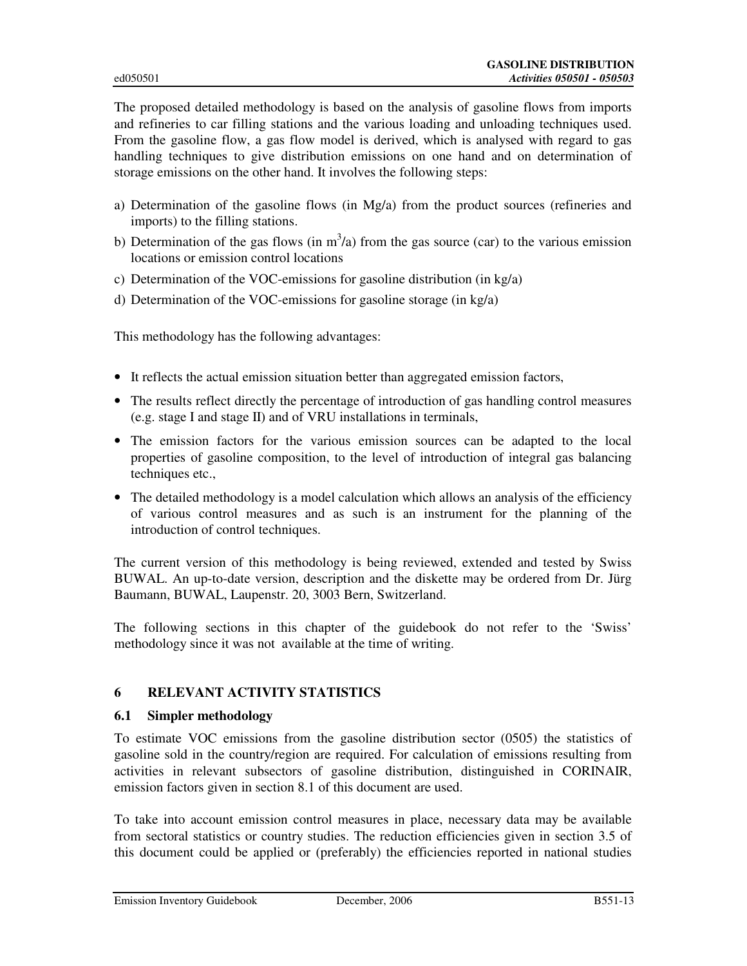The proposed detailed methodology is based on the analysis of gasoline flows from imports and refineries to car filling stations and the various loading and unloading techniques used. From the gasoline flow, a gas flow model is derived, which is analysed with regard to gas handling techniques to give distribution emissions on one hand and on determination of storage emissions on the other hand. It involves the following steps:

- a) Determination of the gasoline flows (in Mg/a) from the product sources (refineries and imports) to the filling stations.
- b) Determination of the gas flows (in  $m^3/a$ ) from the gas source (car) to the various emission locations or emission control locations
- c) Determination of the VOC-emissions for gasoline distribution (in kg/a)
- d) Determination of the VOC-emissions for gasoline storage (in kg/a)

This methodology has the following advantages:

- It reflects the actual emission situation better than aggregated emission factors,
- The results reflect directly the percentage of introduction of gas handling control measures (e.g. stage I and stage II) and of VRU installations in terminals,
- The emission factors for the various emission sources can be adapted to the local properties of gasoline composition, to the level of introduction of integral gas balancing techniques etc.,
- The detailed methodology is a model calculation which allows an analysis of the efficiency of various control measures and as such is an instrument for the planning of the introduction of control techniques.

The current version of this methodology is being reviewed, extended and tested by Swiss BUWAL. An up-to-date version, description and the diskette may be ordered from Dr. Jürg Baumann, BUWAL, Laupenstr. 20, 3003 Bern, Switzerland.

The following sections in this chapter of the guidebook do not refer to the 'Swiss' methodology since it was not available at the time of writing.

### **6 RELEVANT ACTIVITY STATISTICS**

#### **6.1 Simpler methodology**

To estimate VOC emissions from the gasoline distribution sector (0505) the statistics of gasoline sold in the country/region are required. For calculation of emissions resulting from activities in relevant subsectors of gasoline distribution, distinguished in CORINAIR, emission factors given in section 8.1 of this document are used.

To take into account emission control measures in place, necessary data may be available from sectoral statistics or country studies. The reduction efficiencies given in section 3.5 of this document could be applied or (preferably) the efficiencies reported in national studies

Emission Inventory Guidebook December, 2006 B551-13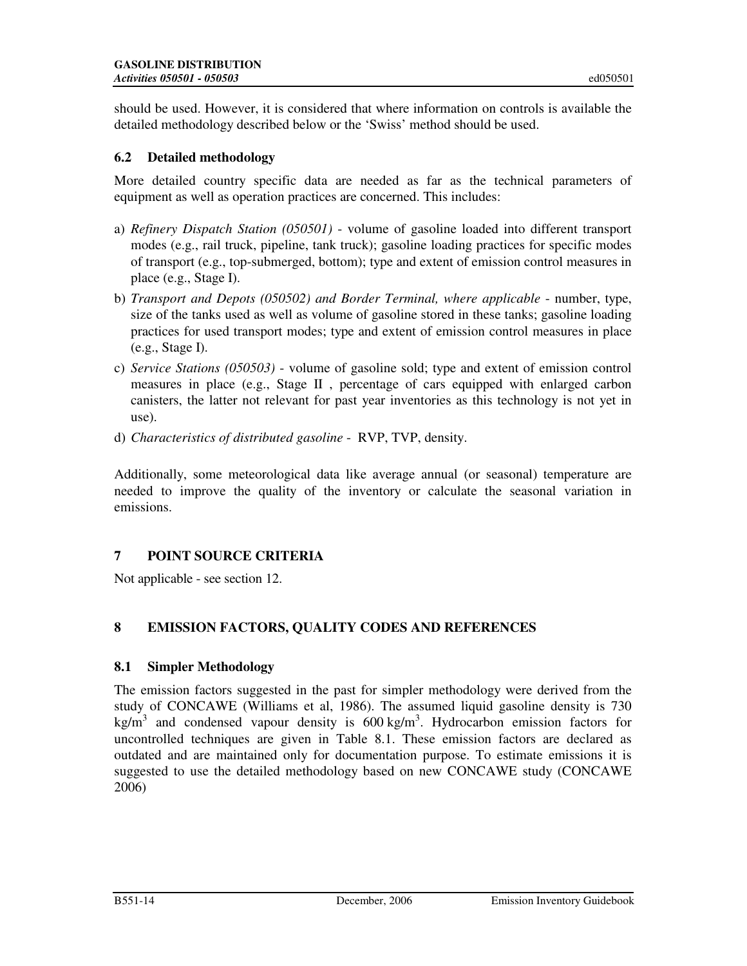should be used. However, it is considered that where information on controls is available the detailed methodology described below or the 'Swiss' method should be used.

### **6.2 Detailed methodology**

More detailed country specific data are needed as far as the technical parameters of equipment as well as operation practices are concerned. This includes:

- a) *Refinery Dispatch Station (050501)*  volume of gasoline loaded into different transport modes (e.g., rail truck, pipeline, tank truck); gasoline loading practices for specific modes of transport (e.g., top-submerged, bottom); type and extent of emission control measures in place (e.g., Stage I).
- b) *Transport and Depots (050502) and Border Terminal, where applicable* number, type, size of the tanks used as well as volume of gasoline stored in these tanks; gasoline loading practices for used transport modes; type and extent of emission control measures in place (e.g., Stage I).
- c) *Service Stations (050503)* volume of gasoline sold; type and extent of emission control measures in place (e.g., Stage II , percentage of cars equipped with enlarged carbon canisters, the latter not relevant for past year inventories as this technology is not yet in use).
- d) *Characteristics of distributed gasoline* RVP, TVP, density.

Additionally, some meteorological data like average annual (or seasonal) temperature are needed to improve the quality of the inventory or calculate the seasonal variation in emissions.

### **7 POINT SOURCE CRITERIA**

Not applicable - see section 12.

# **8 EMISSION FACTORS, QUALITY CODES AND REFERENCES**

### **8.1 Simpler Methodology**

The emission factors suggested in the past for simpler methodology were derived from the study of CONCAWE (Williams et al, 1986). The assumed liquid gasoline density is 730 kg/m<sup>3</sup> and condensed vapour density is  $600 \text{ kg/m}^3$ . Hydrocarbon emission factors for uncontrolled techniques are given in Table 8.1. These emission factors are declared as outdated and are maintained only for documentation purpose. To estimate emissions it is suggested to use the detailed methodology based on new CONCAWE study (CONCAWE 2006)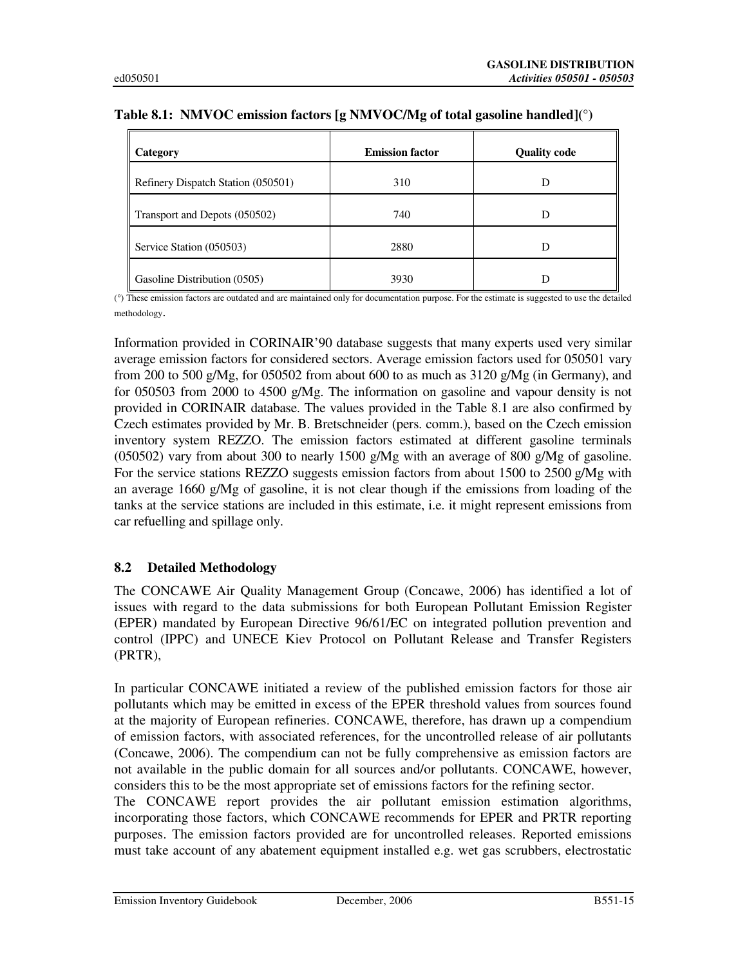| <b>Category</b>                    | <b>Emission factor</b> | <b>Quality code</b> |
|------------------------------------|------------------------|---------------------|
| Refinery Dispatch Station (050501) | 310                    |                     |
| Transport and Depots (050502)      | 740                    |                     |
| Service Station (050503)           | 2880                   |                     |
| Gasoline Distribution $(0505)$     | 3930                   |                     |

#### **Table 8.1: NMVOC emission factors [g NMVOC/Mg of total gasoline handled](°)**

(°) These emission factors are outdated and are maintained only for documentation purpose. For the estimate is suggested to use the detailed methodology.

Information provided in CORINAIR'90 database suggests that many experts used very similar average emission factors for considered sectors. Average emission factors used for 050501 vary from 200 to 500 g/Mg, for 050502 from about 600 to as much as 3120 g/Mg (in Germany), and for 050503 from 2000 to 4500 g/Mg. The information on gasoline and vapour density is not provided in CORINAIR database. The values provided in the Table 8.1 are also confirmed by Czech estimates provided by Mr. B. Bretschneider (pers. comm.), based on the Czech emission inventory system REZZO. The emission factors estimated at different gasoline terminals (050502) vary from about 300 to nearly 1500 g/Mg with an average of 800 g/Mg of gasoline. For the service stations REZZO suggests emission factors from about 1500 to 2500 g/Mg with an average 1660 g/Mg of gasoline, it is not clear though if the emissions from loading of the tanks at the service stations are included in this estimate, i.e. it might represent emissions from car refuelling and spillage only.

### **8.2 Detailed Methodology**

The CONCAWE Air Quality Management Group (Concawe, 2006) has identified a lot of issues with regard to the data submissions for both European Pollutant Emission Register (EPER) mandated by European Directive 96/61/EC on integrated pollution prevention and control (IPPC) and UNECE Kiev Protocol on Pollutant Release and Transfer Registers (PRTR),

In particular CONCAWE initiated a review of the published emission factors for those air pollutants which may be emitted in excess of the EPER threshold values from sources found at the majority of European refineries. CONCAWE, therefore, has drawn up a compendium of emission factors, with associated references, for the uncontrolled release of air pollutants (Concawe, 2006). The compendium can not be fully comprehensive as emission factors are not available in the public domain for all sources and/or pollutants. CONCAWE, however, considers this to be the most appropriate set of emissions factors for the refining sector.

The CONCAWE report provides the air pollutant emission estimation algorithms, incorporating those factors, which CONCAWE recommends for EPER and PRTR reporting purposes. The emission factors provided are for uncontrolled releases. Reported emissions must take account of any abatement equipment installed e.g. wet gas scrubbers, electrostatic

Emission Inventory Guidebook December, 2006 B551-15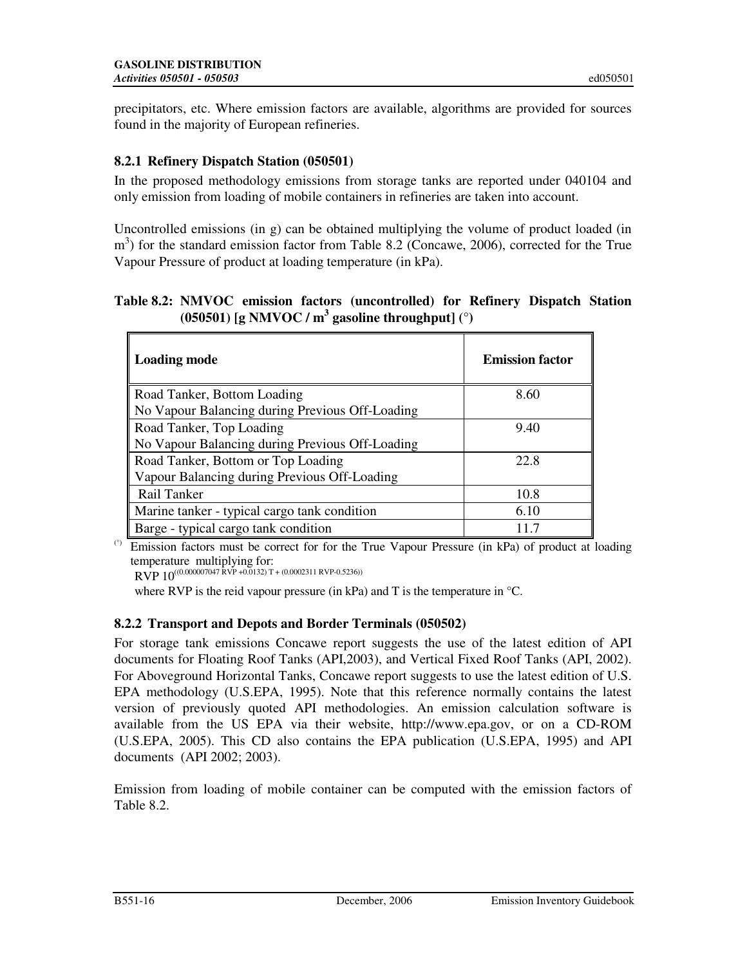precipitators, etc. Where emission factors are available, algorithms are provided for sources found in the majority of European refineries.

### **8.2.1 Refinery Dispatch Station (050501)**

In the proposed methodology emissions from storage tanks are reported under 040104 and only emission from loading of mobile containers in refineries are taken into account.

Uncontrolled emissions (in g) can be obtained multiplying the volume of product loaded (in m<sup>3</sup>) for the standard emission factor from Table 8.2 (Concawe, 2006), corrected for the True Vapour Pressure of product at loading temperature (in kPa).

**Table 8.2: NMVOC emission factors (uncontrolled) for Refinery Dispatch Station (050501) [g NMVOC / m<sup>3</sup> gasoline throughput] (°)** 

| <b>Loading mode</b>                             | <b>Emission factor</b> |
|-------------------------------------------------|------------------------|
| Road Tanker, Bottom Loading                     | 8.60                   |
| No Vapour Balancing during Previous Off-Loading |                        |
| Road Tanker, Top Loading                        | 9.40                   |
| No Vapour Balancing during Previous Off-Loading |                        |
| Road Tanker, Bottom or Top Loading              | 22.8                   |
| Vapour Balancing during Previous Off-Loading    |                        |
| Rail Tanker                                     | 10.8                   |
| Marine tanker - typical cargo tank condition    | 6.10                   |
| Barge - typical cargo tank condition            |                        |

(°) Emission factors must be correct for for the True Vapour Pressure (in kPa) of product at loading temperature multiplying for:

RVP  $10^{((0.000007047 \text{ RVP }+0.0132) T + (0.0002311 \text{ RVP} \cdot 0.5236))}$ 

where RVP is the reid vapour pressure (in kPa) and T is the temperature in  $\mathrm{C}$ .

### **8.2.2 Transport and Depots and Border Terminals (050502)**

For storage tank emissions Concawe report suggests the use of the latest edition of API documents for Floating Roof Tanks (API,2003), and Vertical Fixed Roof Tanks (API, 2002). For Aboveground Horizontal Tanks, Concawe report suggests to use the latest edition of U.S. EPA methodology (U.S.EPA, 1995). Note that this reference normally contains the latest version of previously quoted API methodologies. An emission calculation software is available from the US EPA via their website, http://www.epa.gov, or on a CD-ROM (U.S.EPA, 2005). This CD also contains the EPA publication (U.S.EPA, 1995) and API documents (API 2002; 2003).

Emission from loading of mobile container can be computed with the emission factors of Table 8.2.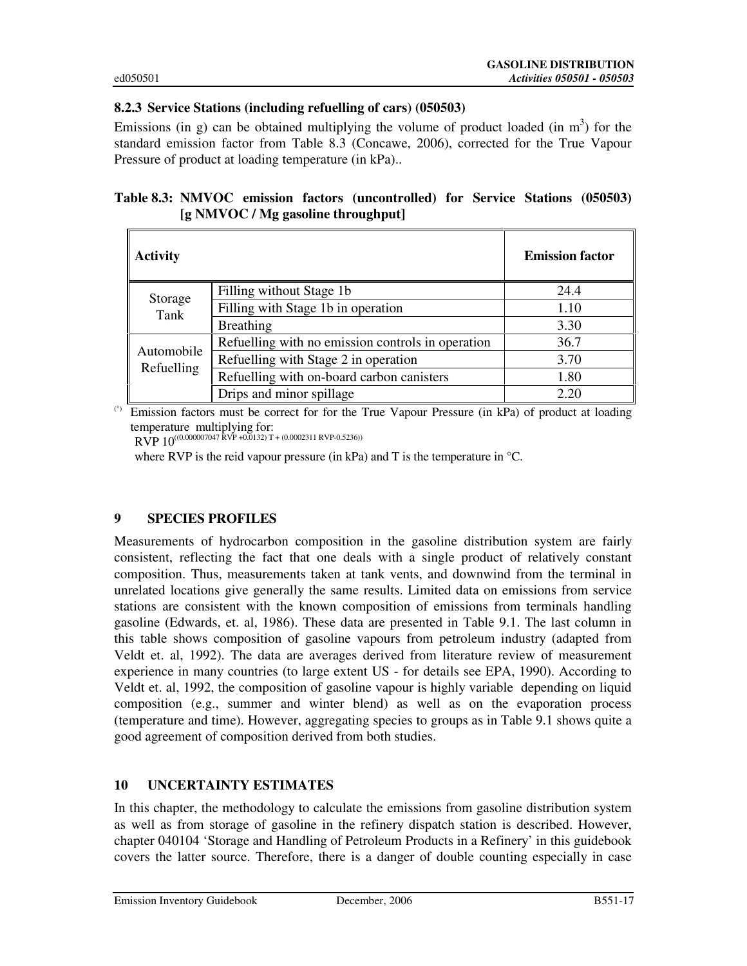### **8.2.3 Service Stations (including refuelling of cars) (050503)**

Emissions (in g) can be obtained multiplying the volume of product loaded (in  $m<sup>3</sup>$ ) for the standard emission factor from Table 8.3 (Concawe, 2006), corrected for the True Vapour Pressure of product at loading temperature (in kPa)..

|                                    |  | Table 8.3: NMVOC emission factors (uncontrolled) for Service Stations (050503) |  |  |
|------------------------------------|--|--------------------------------------------------------------------------------|--|--|
| [g NMVOC / Mg gasoline throughput] |  |                                                                                |  |  |

| <b>Activity</b>          |                                                   | <b>Emission factor</b> |
|--------------------------|---------------------------------------------------|------------------------|
| Storage                  | Filling without Stage 1b                          | 24.4                   |
| Tank                     | Filling with Stage 1b in operation                | 1.10                   |
|                          | Breathing                                         | 3.30                   |
|                          | Refuelling with no emission controls in operation | 36.7                   |
| Automobile<br>Refuelling | Refuelling with Stage 2 in operation              | 3.70                   |
|                          | Refuelling with on-board carbon canisters         | 1.80                   |
|                          | Drips and minor spillage                          | 2.20                   |

(°) Emission factors must be correct for for the True Vapour Pressure (in kPa) of product at loading temperature multiplying for: RVP 10<sup>((0.000007047</sup> RVP +0.0132) T + (0.0002311 RVP-0.5236))

where RVP is the reid vapour pressure (in kPa) and T is the temperature in °C.

### **9 SPECIES PROFILES**

Measurements of hydrocarbon composition in the gasoline distribution system are fairly consistent, reflecting the fact that one deals with a single product of relatively constant composition. Thus, measurements taken at tank vents, and downwind from the terminal in unrelated locations give generally the same results. Limited data on emissions from service stations are consistent with the known composition of emissions from terminals handling gasoline (Edwards, et. al, 1986). These data are presented in Table 9.1. The last column in this table shows composition of gasoline vapours from petroleum industry (adapted from Veldt et. al, 1992). The data are averages derived from literature review of measurement experience in many countries (to large extent US - for details see EPA, 1990). According to Veldt et. al, 1992, the composition of gasoline vapour is highly variable depending on liquid composition (e.g., summer and winter blend) as well as on the evaporation process (temperature and time). However, aggregating species to groups as in Table 9.1 shows quite a good agreement of composition derived from both studies.

### **10 UNCERTAINTY ESTIMATES**

In this chapter, the methodology to calculate the emissions from gasoline distribution system as well as from storage of gasoline in the refinery dispatch station is described. However, chapter 040104 'Storage and Handling of Petroleum Products in a Refinery' in this guidebook covers the latter source. Therefore, there is a danger of double counting especially in case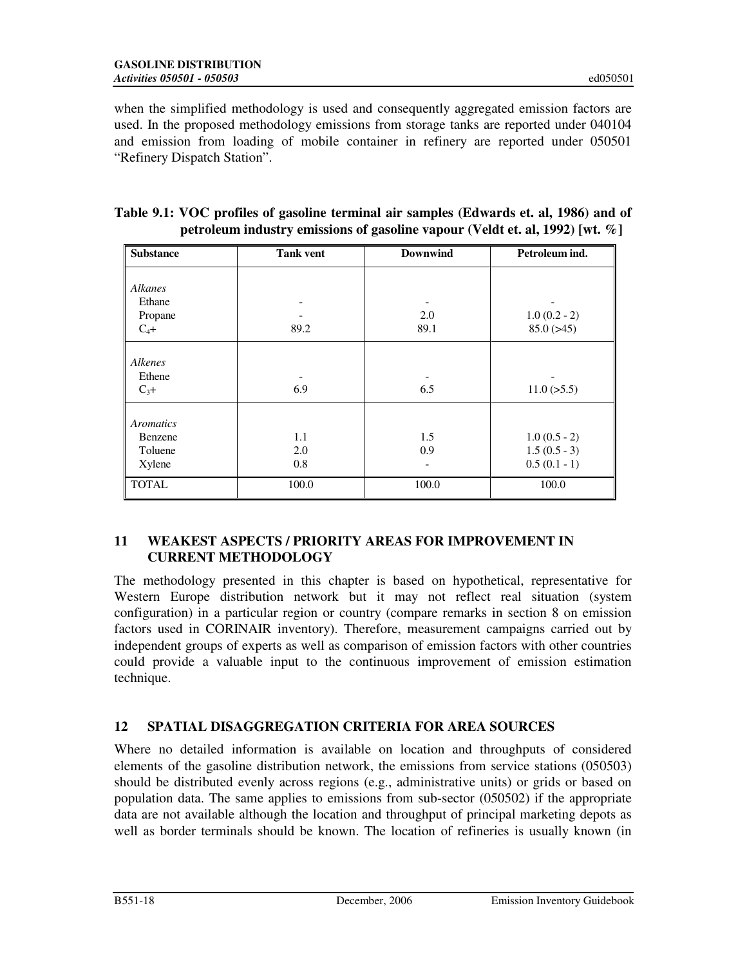when the simplified methodology is used and consequently aggregated emission factors are used. In the proposed methodology emissions from storage tanks are reported under 040104 and emission from loading of mobile container in refinery are reported under 050501 "Refinery Dispatch Station".

| <b>Substance</b> | <b>Tank vent</b> | <b>Downwind</b> | Petroleum ind.  |
|------------------|------------------|-----------------|-----------------|
|                  |                  |                 |                 |
| Alkanes          |                  |                 |                 |
| Ethane           |                  |                 |                 |
| Propane          |                  | 2.0             | $1.0(0.2 - 2)$  |
| $C_4+$           | 89.2             | 89.1            | 85.0(>45)       |
| Alkenes          |                  |                 |                 |
| Ethene           |                  |                 |                 |
| $C_3+$           | 6.9              | 6.5             | $11.0 (>= 5.5)$ |
| Aromatics        |                  |                 |                 |
| Benzene          | 1.1              | 1.5             | $1.0(0.5 - 2)$  |
|                  |                  |                 |                 |
| Toluene          | 2.0              | 0.9             | $1.5(0.5-3)$    |
| Xylene           | 0.8              |                 | $0.5(0.1 - 1)$  |
| <b>TOTAL</b>     | 100.0            | 100.0           | 100.0           |

| Table 9.1: VOC profiles of gasoline terminal air samples (Edwards et. al, 1986) and of |
|----------------------------------------------------------------------------------------|
| petroleum industry emissions of gasoline vapour (Veldt et. al. 1992) [wt. $\%$ ]       |

### **11 WEAKEST ASPECTS / PRIORITY AREAS FOR IMPROVEMENT IN CURRENT METHODOLOGY**

The methodology presented in this chapter is based on hypothetical, representative for Western Europe distribution network but it may not reflect real situation (system configuration) in a particular region or country (compare remarks in section 8 on emission factors used in CORINAIR inventory). Therefore, measurement campaigns carried out by independent groups of experts as well as comparison of emission factors with other countries could provide a valuable input to the continuous improvement of emission estimation technique.

# **12 SPATIAL DISAGGREGATION CRITERIA FOR AREA SOURCES**

Where no detailed information is available on location and throughputs of considered elements of the gasoline distribution network, the emissions from service stations (050503) should be distributed evenly across regions (e.g., administrative units) or grids or based on population data. The same applies to emissions from sub-sector (050502) if the appropriate data are not available although the location and throughput of principal marketing depots as well as border terminals should be known. The location of refineries is usually known (in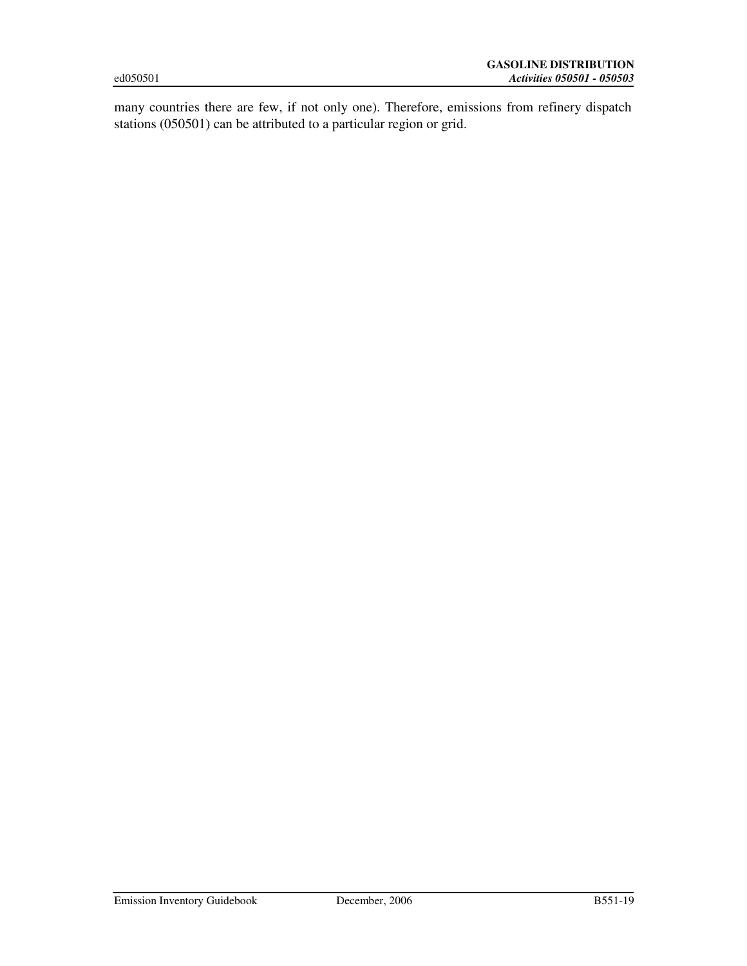many countries there are few, if not only one). Therefore, emissions from refinery dispatch stations (050501) can be attributed to a particular region or grid.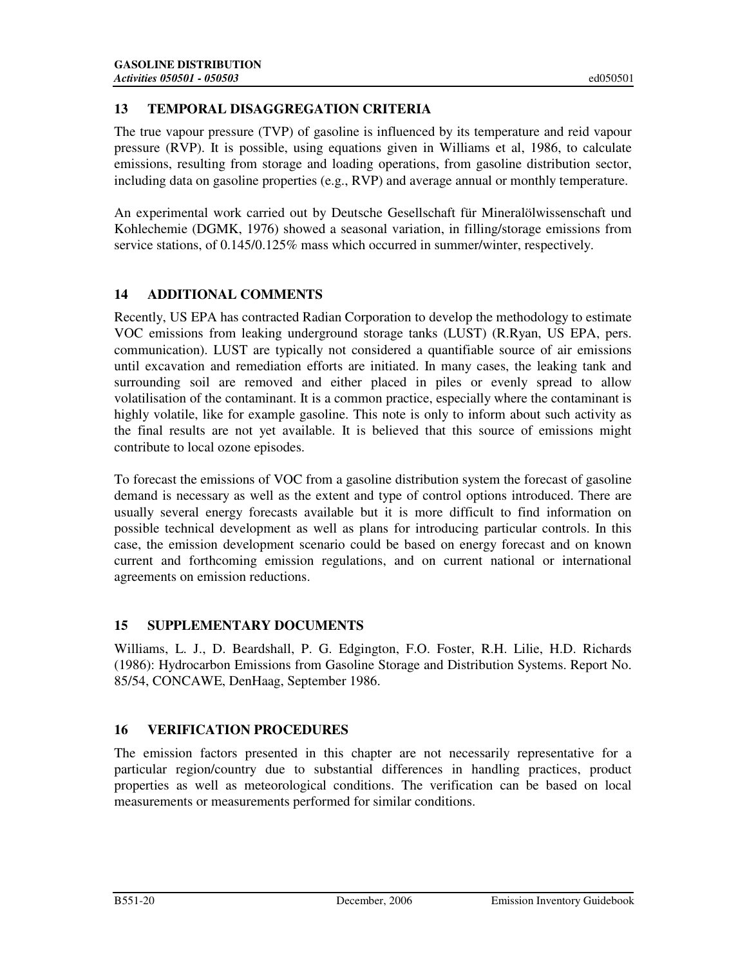### **13 TEMPORAL DISAGGREGATION CRITERIA**

The true vapour pressure (TVP) of gasoline is influenced by its temperature and reid vapour pressure (RVP). It is possible, using equations given in Williams et al, 1986, to calculate emissions, resulting from storage and loading operations, from gasoline distribution sector, including data on gasoline properties (e.g., RVP) and average annual or monthly temperature.

An experimental work carried out by Deutsche Gesellschaft für Mineralölwissenschaft und Kohlechemie (DGMK, 1976) showed a seasonal variation, in filling/storage emissions from service stations, of 0.145/0.125% mass which occurred in summer/winter, respectively.

# **14 ADDITIONAL COMMENTS**

Recently, US EPA has contracted Radian Corporation to develop the methodology to estimate VOC emissions from leaking underground storage tanks (LUST) (R.Ryan, US EPA, pers. communication). LUST are typically not considered a quantifiable source of air emissions until excavation and remediation efforts are initiated. In many cases, the leaking tank and surrounding soil are removed and either placed in piles or evenly spread to allow volatilisation of the contaminant. It is a common practice, especially where the contaminant is highly volatile, like for example gasoline. This note is only to inform about such activity as the final results are not yet available. It is believed that this source of emissions might contribute to local ozone episodes.

To forecast the emissions of VOC from a gasoline distribution system the forecast of gasoline demand is necessary as well as the extent and type of control options introduced. There are usually several energy forecasts available but it is more difficult to find information on possible technical development as well as plans for introducing particular controls. In this case, the emission development scenario could be based on energy forecast and on known current and forthcoming emission regulations, and on current national or international agreements on emission reductions.

### **15 SUPPLEMENTARY DOCUMENTS**

Williams, L. J., D. Beardshall, P. G. Edgington, F.O. Foster, R.H. Lilie, H.D. Richards (1986): Hydrocarbon Emissions from Gasoline Storage and Distribution Systems. Report No. 85/54, CONCAWE, DenHaag, September 1986.

### **16 VERIFICATION PROCEDURES**

The emission factors presented in this chapter are not necessarily representative for a particular region/country due to substantial differences in handling practices, product properties as well as meteorological conditions. The verification can be based on local measurements or measurements performed for similar conditions.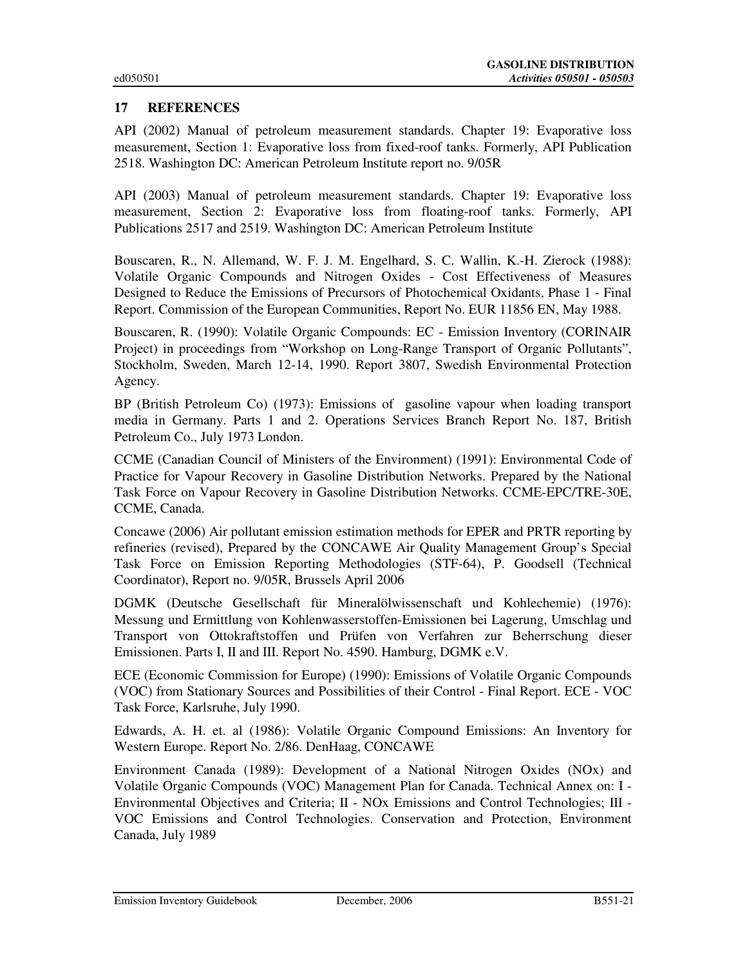### **17 REFERENCES**

API (2002) Manual of petroleum measurement standards. Chapter 19: Evaporative loss measurement, Section 1: Evaporative loss from fixed-roof tanks. Formerly, API Publication 2518. Washington DC: American Petroleum Institute report no. 9/05R

API (2003) Manual of petroleum measurement standards. Chapter 19: Evaporative loss measurement, Section 2: Evaporative loss from floating-roof tanks. Formerly, API Publications 2517 and 2519. Washington DC: American Petroleum Institute

Bouscaren, R., N. Allemand, W. F. J. M. Engelhard, S. C. Wallin, K.-H. Zierock (1988): Volatile Organic Compounds and Nitrogen Oxides - Cost Effectiveness of Measures Designed to Reduce the Emissions of Precursors of Photochemical Oxidants, Phase 1 - Final Report. Commission of the European Communities, Report No. EUR 11856 EN, May 1988.

Bouscaren, R. (1990): Volatile Organic Compounds: EC - Emission Inventory (CORINAIR Project) in proceedings from "Workshop on Long-Range Transport of Organic Pollutants", Stockholm, Sweden, March 12-14, 1990. Report 3807, Swedish Environmental Protection Agency.

BP (British Petroleum Co) (1973): Emissions of gasoline vapour when loading transport media in Germany. Parts 1 and 2. Operations Services Branch Report No. 187, British Petroleum Co., July 1973 London.

CCME (Canadian Council of Ministers of the Environment) (1991): Environmental Code of Practice for Vapour Recovery in Gasoline Distribution Networks. Prepared by the National Task Force on Vapour Recovery in Gasoline Distribution Networks. CCME-EPC/TRE-30E, CCME, Canada.

Concawe (2006) Air pollutant emission estimation methods for EPER and PRTR reporting by refineries (revised), Prepared by the CONCAWE Air Quality Management Group's Special Task Force on Emission Reporting Methodologies (STF-64), P. Goodsell (Technical Coordinator), Report no. 9/05R, Brussels April 2006

DGMK (Deutsche Gesellschaft für Mineralölwissenschaft und Kohlechemie) (1976): Messung und Ermittlung von Kohlenwasserstoffen-Emissionen bei Lagerung, Umschlag und Transport von Ottokraftstoffen und Prüfen von Verfahren zur Beherrschung dieser Emissionen. Parts I, II and III. Report No. 4590. Hamburg, DGMK e.V.

ECE (Economic Commission for Europe) (1990): Emissions of Volatile Organic Compounds (VOC) from Stationary Sources and Possibilities of their Control - Final Report. ECE - VOC Task Force, Karlsruhe, July 1990.

Edwards, A. H. et. al (1986): Volatile Organic Compound Emissions: An Inventory for Western Europe. Report No. 2/86. DenHaag, CONCAWE

Environment Canada (1989): Development of a National Nitrogen Oxides (NOx) and Volatile Organic Compounds (VOC) Management Plan for Canada. Technical Annex on: I - Environmental Objectives and Criteria; II - NOx Emissions and Control Technologies; III - VOC Emissions and Control Technologies. Conservation and Protection, Environment Canada, July 1989

Emission Inventory Guidebook December, 2006 B551-21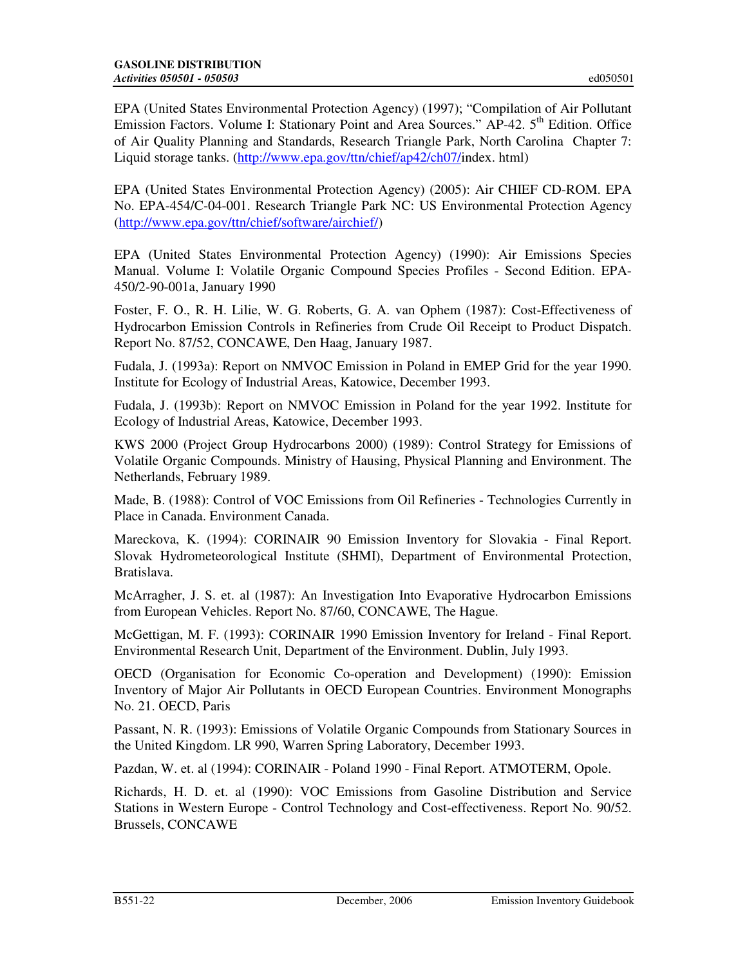EPA (United States Environmental Protection Agency) (1997); "Compilation of Air Pollutant Emission Factors. Volume I: Stationary Point and Area Sources." AP-42. 5<sup>th</sup> Edition. Office of Air Quality Planning and Standards, Research Triangle Park, North Carolina Chapter 7: Liquid storage tanks. (http://www.epa.gov/ttn/chief/ap42/ch07/index. html)

EPA (United States Environmental Protection Agency) (2005): Air CHIEF CD-ROM. EPA No. EPA-454/C-04-001. Research Triangle Park NC: US Environmental Protection Agency (http://www.epa.gov/ttn/chief/software/airchief/)

EPA (United States Environmental Protection Agency) (1990): Air Emissions Species Manual. Volume I: Volatile Organic Compound Species Profiles - Second Edition. EPA-450/2-90-001a, January 1990

Foster, F. O., R. H. Lilie, W. G. Roberts, G. A. van Ophem (1987): Cost-Effectiveness of Hydrocarbon Emission Controls in Refineries from Crude Oil Receipt to Product Dispatch. Report No. 87/52, CONCAWE, Den Haag, January 1987.

Fudala, J. (1993a): Report on NMVOC Emission in Poland in EMEP Grid for the year 1990. Institute for Ecology of Industrial Areas, Katowice, December 1993.

Fudala, J. (1993b): Report on NMVOC Emission in Poland for the year 1992. Institute for Ecology of Industrial Areas, Katowice, December 1993.

KWS 2000 (Project Group Hydrocarbons 2000) (1989): Control Strategy for Emissions of Volatile Organic Compounds. Ministry of Hausing, Physical Planning and Environment. The Netherlands, February 1989.

Made, B. (1988): Control of VOC Emissions from Oil Refineries - Technologies Currently in Place in Canada. Environment Canada.

Mareckova, K. (1994): CORINAIR 90 Emission Inventory for Slovakia - Final Report. Slovak Hydrometeorological Institute (SHMI), Department of Environmental Protection, Bratislava.

McArragher, J. S. et. al (1987): An Investigation Into Evaporative Hydrocarbon Emissions from European Vehicles. Report No. 87/60, CONCAWE, The Hague.

McGettigan, M. F. (1993): CORINAIR 1990 Emission Inventory for Ireland - Final Report. Environmental Research Unit, Department of the Environment. Dublin, July 1993.

OECD (Organisation for Economic Co-operation and Development) (1990): Emission Inventory of Major Air Pollutants in OECD European Countries. Environment Monographs No. 21. OECD, Paris

Passant, N. R. (1993): Emissions of Volatile Organic Compounds from Stationary Sources in the United Kingdom. LR 990, Warren Spring Laboratory, December 1993.

Pazdan, W. et. al (1994): CORINAIR - Poland 1990 - Final Report. ATMOTERM, Opole.

Richards, H. D. et. al (1990): VOC Emissions from Gasoline Distribution and Service Stations in Western Europe - Control Technology and Cost-effectiveness. Report No. 90/52. Brussels, CONCAWE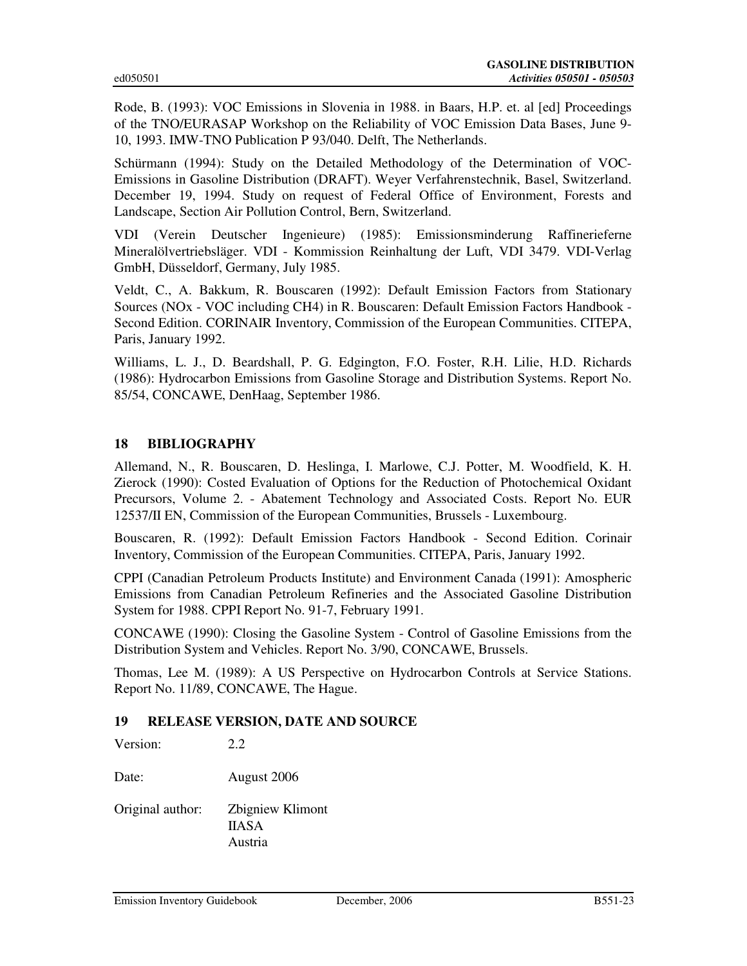Rode, B. (1993): VOC Emissions in Slovenia in 1988. in Baars, H.P. et. al [ed] Proceedings of the TNO/EURASAP Workshop on the Reliability of VOC Emission Data Bases, June 9- 10, 1993. IMW-TNO Publication P 93/040. Delft, The Netherlands.

Schürmann (1994): Study on the Detailed Methodology of the Determination of VOC-Emissions in Gasoline Distribution (DRAFT). Weyer Verfahrenstechnik, Basel, Switzerland. December 19, 1994. Study on request of Federal Office of Environment, Forests and Landscape, Section Air Pollution Control, Bern, Switzerland.

VDI (Verein Deutscher Ingenieure) (1985): Emissionsminderung Raffinerieferne Mineralölvertriebsläger. VDI - Kommission Reinhaltung der Luft, VDI 3479. VDI-Verlag GmbH, Düsseldorf, Germany, July 1985.

Veldt, C., A. Bakkum, R. Bouscaren (1992): Default Emission Factors from Stationary Sources (NOx - VOC including CH4) in R. Bouscaren: Default Emission Factors Handbook - Second Edition. CORINAIR Inventory, Commission of the European Communities. CITEPA, Paris, January 1992.

Williams, L. J., D. Beardshall, P. G. Edgington, F.O. Foster, R.H. Lilie, H.D. Richards (1986): Hydrocarbon Emissions from Gasoline Storage and Distribution Systems. Report No. 85/54, CONCAWE, DenHaag, September 1986.

### **18 BIBLIOGRAPHY**

Allemand, N., R. Bouscaren, D. Heslinga, I. Marlowe, C.J. Potter, M. Woodfield, K. H. Zierock (1990): Costed Evaluation of Options for the Reduction of Photochemical Oxidant Precursors, Volume 2. - Abatement Technology and Associated Costs. Report No. EUR 12537/II EN, Commission of the European Communities, Brussels - Luxembourg.

Bouscaren, R. (1992): Default Emission Factors Handbook - Second Edition. Corinair Inventory, Commission of the European Communities. CITEPA, Paris, January 1992.

CPPI (Canadian Petroleum Products Institute) and Environment Canada (1991): Amospheric Emissions from Canadian Petroleum Refineries and the Associated Gasoline Distribution System for 1988. CPPI Report No. 91-7, February 1991.

CONCAWE (1990): Closing the Gasoline System - Control of Gasoline Emissions from the Distribution System and Vehicles. Report No. 3/90, CONCAWE, Brussels.

Thomas, Lee M. (1989): A US Perspective on Hydrocarbon Controls at Service Stations. Report No. 11/89, CONCAWE, The Hague.

### **19 RELEASE VERSION, DATE AND SOURCE**

Version: 2.2

Date: August 2006

Original author: Zbigniew Klimont IIASA Austria